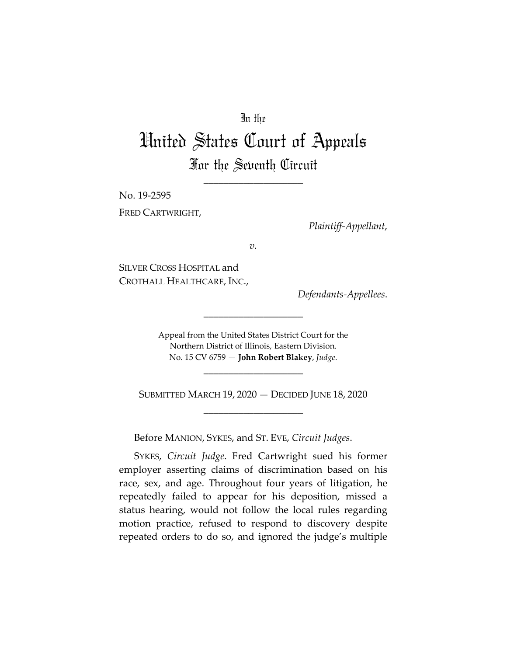## In the

## United States Court of Appeals For the Seventh Circuit

\_\_\_\_\_\_\_\_\_\_\_\_\_\_\_\_\_\_\_\_

No. 19-2595 FRED CARTWRIGHT,

*Plaintiff-Appellant*,

*v.*

SILVER CROSS HOSPITAL and CROTHALL HEALTHCARE, INC.,

*Defendants-Appellees*.

Appeal from the United States District Court for the Northern District of Illinois, Eastern Division. No. 15 CV 6759 — **John Robert Blakey**, *Judge*.

\_\_\_\_\_\_\_\_\_\_\_\_\_\_\_\_\_\_\_\_

SUBMITTED MARCH 19, 2020 — DECIDED JUNE 18, 2020 \_\_\_\_\_\_\_\_\_\_\_\_\_\_\_\_\_\_\_\_

\_\_\_\_\_\_\_\_\_\_\_\_\_\_\_\_\_\_\_\_

Before MANION, SYKES, and ST. EVE, *Circuit Judges*.

SYKES, *Circuit Judge*. Fred Cartwright sued his former employer asserting claims of discrimination based on his race, sex, and age. Throughout four years of litigation, he repeatedly failed to appear for his deposition, missed a status hearing, would not follow the local rules regarding motion practice, refused to respond to discovery despite repeated orders to do so, and ignored the judge's multiple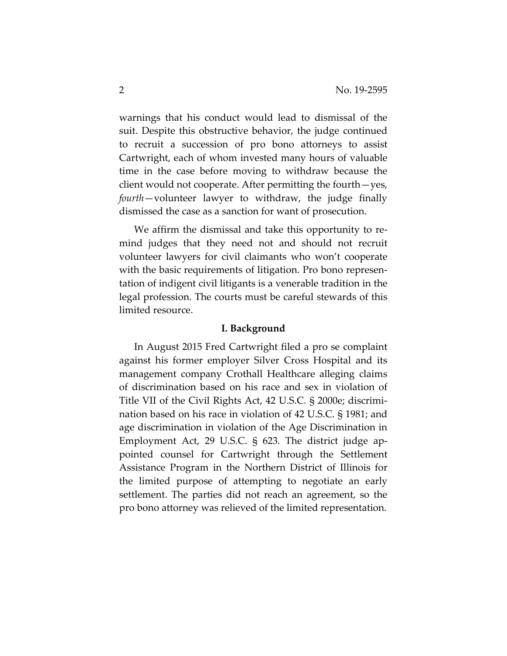warnings that his conduct would lead to dismissal of the suit. Despite this obstructive behavior, the judge continued to recruit a succession of pro bono attorneys to assist Cartwright, each of whom invested many hours of valuable time in the case before moving to withdraw because the client would not cooperate. After permitting the fourth—yes, *fourth*—volunteer lawyer to withdraw, the judge finally dismissed the case as a sanction for want of prosecution.

We affirm the dismissal and take this opportunity to remind judges that they need not and should not recruit volunteer lawyers for civil claimants who won't cooperate with the basic requirements of litigation. Pro bono representation of indigent civil litigants is a venerable tradition in the legal profession. The courts must be careful stewards of this limited resource.

## **I. Background**

In August 2015 Fred Cartwright filed a pro se complaint against his former employer Silver Cross Hospital and its management company Crothall Healthcare alleging claims of discrimination based on his race and sex in violation of Title VII of the Civil Rights Act, 42 U.S.C. § 2000e; discrimination based on his race in violation of 42 U.S.C. § 1981; and age discrimination in violation of the Age Discrimination in Employment Act, 29 U.S.C. § 623. The district judge appointed counsel for Cartwright through the Settlement Assistance Program in the Northern District of Illinois for the limited purpose of attempting to negotiate an early settlement. The parties did not reach an agreement, so the pro bono attorney was relieved of the limited representation.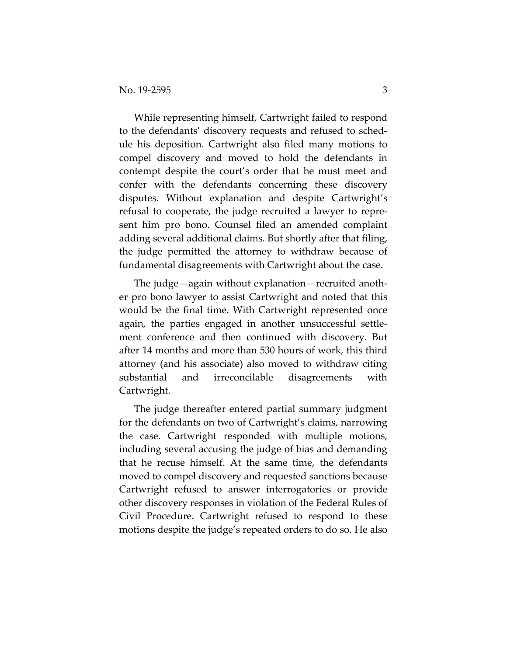While representing himself, Cartwright failed to respond to the defendants' discovery requests and refused to schedule his deposition. Cartwright also filed many motions to compel discovery and moved to hold the defendants in contempt despite the court's order that he must meet and confer with the defendants concerning these discovery disputes. Without explanation and despite Cartwright's refusal to cooperate, the judge recruited a lawyer to represent him pro bono. Counsel filed an amended complaint adding several additional claims. But shortly after that filing, the judge permitted the attorney to withdraw because of fundamental disagreements with Cartwright about the case.

The judge—again without explanation—recruited another pro bono lawyer to assist Cartwright and noted that this would be the final time. With Cartwright represented once again, the parties engaged in another unsuccessful settlement conference and then continued with discovery. But after 14 months and more than 530 hours of work, this third attorney (and his associate) also moved to withdraw citing substantial and irreconcilable disagreements with Cartwright.

The judge thereafter entered partial summary judgment for the defendants on two of Cartwright's claims, narrowing the case. Cartwright responded with multiple motions, including several accusing the judge of bias and demanding that he recuse himself. At the same time, the defendants moved to compel discovery and requested sanctions because Cartwright refused to answer interrogatories or provide other discovery responses in violation of the Federal Rules of Civil Procedure. Cartwright refused to respond to these motions despite the judge's repeated orders to do so. He also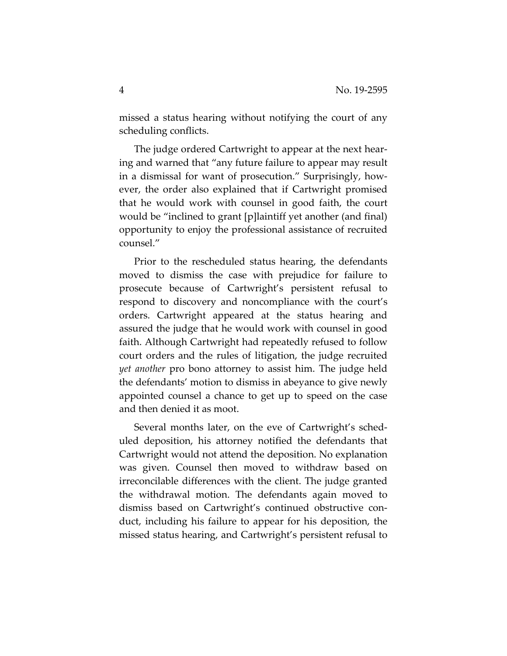missed a status hearing without notifying the court of any scheduling conflicts.

The judge ordered Cartwright to appear at the next hearing and warned that "any future failure to appear may result in a dismissal for want of prosecution." Surprisingly, however, the order also explained that if Cartwright promised that he would work with counsel in good faith, the court would be "inclined to grant [p]laintiff yet another (and final) opportunity to enjoy the professional assistance of recruited counsel."

Prior to the rescheduled status hearing, the defendants moved to dismiss the case with prejudice for failure to prosecute because of Cartwright's persistent refusal to respond to discovery and noncompliance with the court's orders. Cartwright appeared at the status hearing and assured the judge that he would work with counsel in good faith. Although Cartwright had repeatedly refused to follow court orders and the rules of litigation, the judge recruited *yet another* pro bono attorney to assist him. The judge held the defendants' motion to dismiss in abeyance to give newly appointed counsel a chance to get up to speed on the case and then denied it as moot.

Several months later, on the eve of Cartwright's scheduled deposition, his attorney notified the defendants that Cartwright would not attend the deposition. No explanation was given. Counsel then moved to withdraw based on irreconcilable differences with the client. The judge granted the withdrawal motion. The defendants again moved to dismiss based on Cartwright's continued obstructive conduct, including his failure to appear for his deposition, the missed status hearing, and Cartwright's persistent refusal to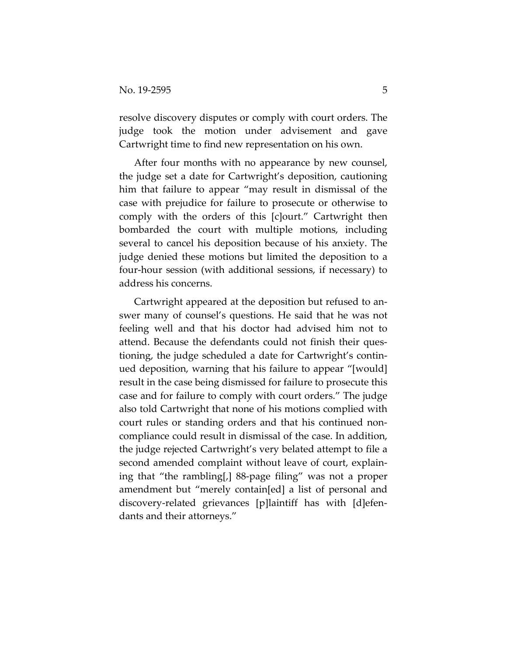resolve discovery disputes or comply with court orders. The judge took the motion under advisement and gave Cartwright time to find new representation on his own.

After four months with no appearance by new counsel, the judge set a date for Cartwright's deposition, cautioning him that failure to appear "may result in dismissal of the case with prejudice for failure to prosecute or otherwise to comply with the orders of this [c]ourt." Cartwright then bombarded the court with multiple motions, including several to cancel his deposition because of his anxiety. The judge denied these motions but limited the deposition to a four-hour session (with additional sessions, if necessary) to address his concerns.

Cartwright appeared at the deposition but refused to answer many of counsel's questions. He said that he was not feeling well and that his doctor had advised him not to attend. Because the defendants could not finish their questioning, the judge scheduled a date for Cartwright's continued deposition, warning that his failure to appear "[would] result in the case being dismissed for failure to prosecute this case and for failure to comply with court orders." The judge also told Cartwright that none of his motions complied with court rules or standing orders and that his continued noncompliance could result in dismissal of the case. In addition, the judge rejected Cartwright's very belated attempt to file a second amended complaint without leave of court, explaining that "the rambling[,] 88-page filing" was not a proper amendment but "merely contain[ed] a list of personal and discovery-related grievances [p]laintiff has with [d]efendants and their attorneys."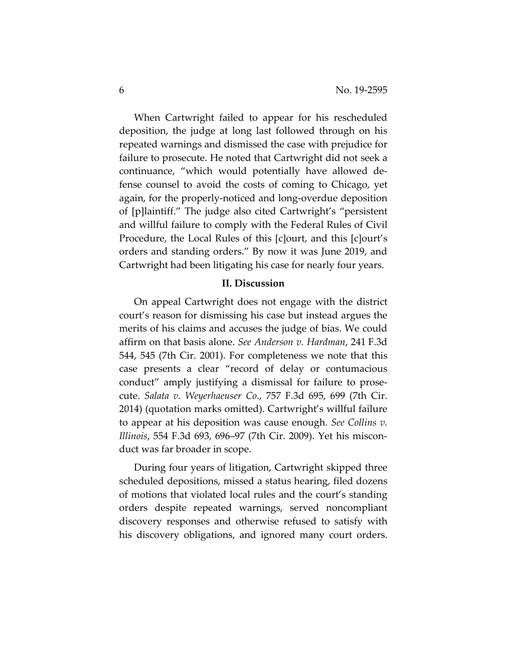When Cartwright failed to appear for his rescheduled deposition, the judge at long last followed through on his repeated warnings and dismissed the case with prejudice for failure to prosecute. He noted that Cartwright did not seek a continuance, "which would potentially have allowed defense counsel to avoid the costs of coming to Chicago, yet again, for the properly-noticed and long-overdue deposition of [p]laintiff." The judge also cited Cartwright's "persistent and willful failure to comply with the Federal Rules of Civil Procedure, the Local Rules of this [c]ourt, and this [c]ourt's orders and standing orders." By now it was June 2019, and Cartwright had been litigating his case for nearly four years.

## **II. Discussion**

On appeal Cartwright does not engage with the district court's reason for dismissing his case but instead argues the merits of his claims and accuses the judge of bias. We could affirm on that basis alone. *See Anderson v. Hardman*, 241 F.3d 544, 545 (7th Cir. 2001). For completeness we note that this case presents a clear "record of delay or contumacious conduct" amply justifying a dismissal for failure to prosecute. *Salata v. Weyerhaeuser Co*., 757 F.3d 695, 699 (7th Cir. 2014) (quotation marks omitted). Cartwright's willful failure to appear at his deposition was cause enough. *See Collins v. Illinois*, 554 F.3d 693, 696–97 (7th Cir. 2009). Yet his misconduct was far broader in scope.

During four years of litigation, Cartwright skipped three scheduled depositions, missed a status hearing, filed dozens of motions that violated local rules and the court's standing orders despite repeated warnings, served noncompliant discovery responses and otherwise refused to satisfy with his discovery obligations, and ignored many court orders.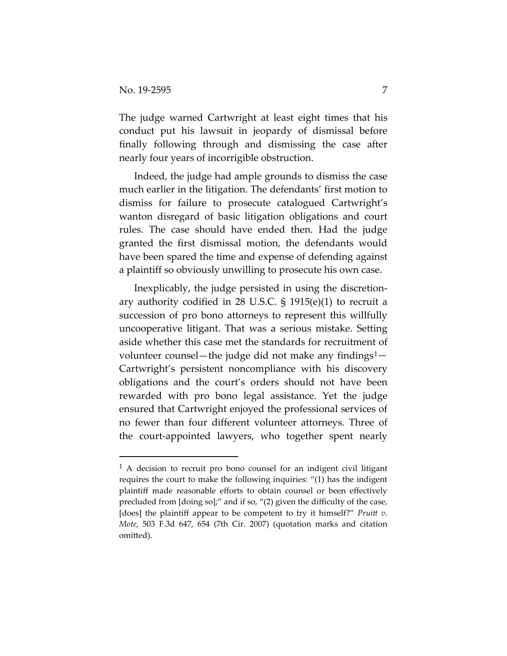The judge warned Cartwright at least eight times that his conduct put his lawsuit in jeopardy of dismissal before finally following through and dismissing the case after nearly four years of incorrigible obstruction.

Indeed, the judge had ample grounds to dismiss the case much earlier in the litigation. The defendants' first motion to dismiss for failure to prosecute catalogued Cartwright's wanton disregard of basic litigation obligations and court rules. The case should have ended then. Had the judge granted the first dismissal motion, the defendants would have been spared the time and expense of defending against a plaintiff so obviously unwilling to prosecute his own case.

Inexplicably, the judge persisted in using the discretionary authority codified in 28 U.S.C. § 1915(e)(1) to recruit a succession of pro bono attorneys to represent this willfully uncooperative litigant. That was a serious mistake. Setting aside whether this case met the standards for recruitment of volunteer counsel—the judge did not make any findings<sup>[1](#page-6-0)</sup>— Cartwright's persistent noncompliance with his discovery obligations and the court's orders should not have been rewarded with pro bono legal assistance. Yet the judge ensured that Cartwright enjoyed the professional services of no fewer than four different volunteer attorneys. Three of the court-appointed lawyers, who together spent nearly

<span id="page-6-0"></span><sup>&</sup>lt;sup>1</sup> A decision to recruit pro bono counsel for an indigent civil litigant requires the court to make the following inquiries: "(1) has the indigent plaintiff made reasonable efforts to obtain counsel or been effectively precluded from [doing so];" and if so, "(2) given the difficulty of the case, [does] the plaintiff appear to be competent to try it himself?" *Pruitt v. Mote*, 503 F.3d 647, 654 (7th Cir. 2007) (quotation marks and citation omitted).